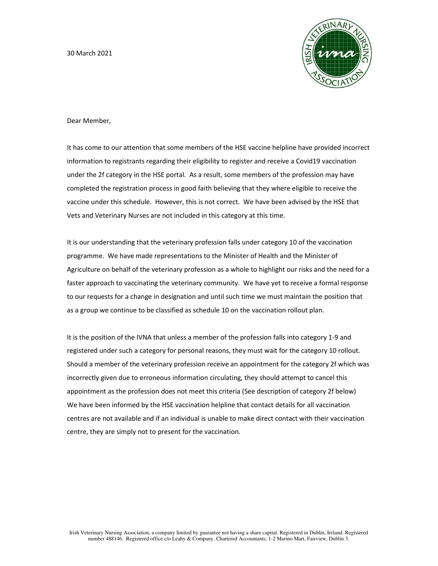30 March 2021



Dear Member,

It has come to our attention that some members of the HSE vaccine helpline have provided incorrect information to registrants regarding their eligibility to register and receive a Covid19 vaccination under the 2f category in the HSE portal. As a result, some members of the profession may have completed the registration process in good faith believing that they where eligible to receive the vaccine under this schedule. However, this is not correct. We have been advised by the HSE that Vets and Veterinary Nurses are not included in this category at this time.

It is our understanding that the veterinary profession falls under category 10 of the vaccination programme. We have made representations to the Minister of Health and the Minister of Agriculture on behalf of the veterinary profession as a whole to highlight our risks and the need for a faster approach to vaccinating the veterinary community. We have yet to receive a formal response to our requests for a change in designation and until such time we must maintain the position that as a group we continue to be classified as schedule 10 on the vaccination rollout plan.

It is the position of the IVNA that unless a member of the profession falls into category 1-9 and registered under such a category for personal reasons, they must wait for the category 10 rollout. Should a member of the veterinary profession receive an appointment for the category 2f which was incorrectly given due to erroneous information circulating, they should attempt to cancel this appointment as the profession does not meet this criteria (See description of category 2f below) We have been informed by the HSE vaccination helpline that contact details for all vaccination centres are not available and if an individual is unable to make direct contact with their vaccination centre, they are simply not to present for the vaccination.